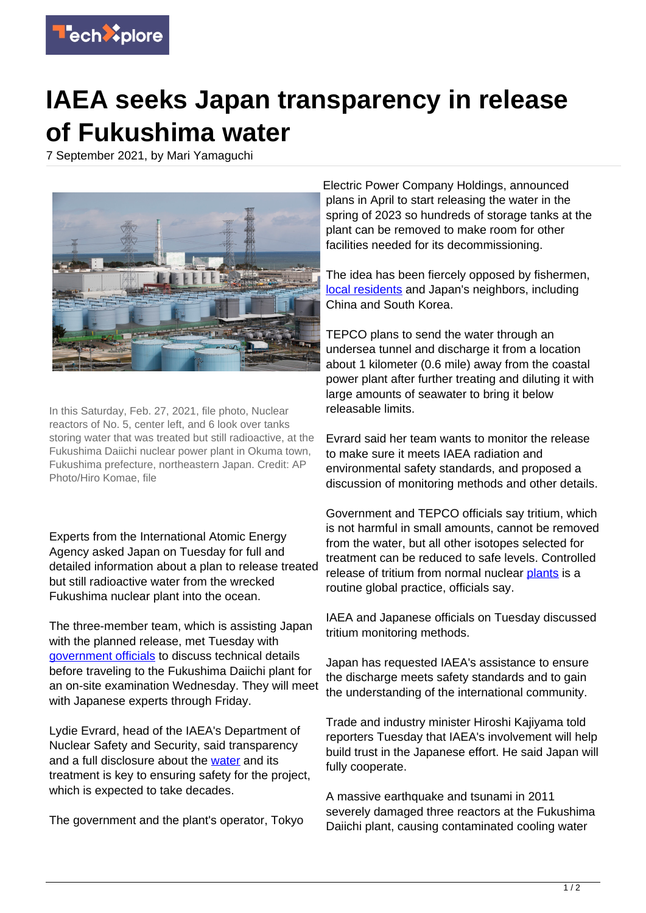

## **IAEA seeks Japan transparency in release of Fukushima water**

7 September 2021, by Mari Yamaguchi



In this Saturday, Feb. 27, 2021, file photo, Nuclear reactors of No. 5, center left, and 6 look over tanks storing water that was treated but still radioactive, at the Fukushima Daiichi nuclear power plant in Okuma town, Fukushima prefecture, northeastern Japan. Credit: AP Photo/Hiro Komae, file

Experts from the International Atomic Energy Agency asked Japan on Tuesday for full and detailed information about a plan to release treated but still radioactive water from the wrecked Fukushima nuclear plant into the ocean.

The three-member team, which is assisting Japan with the planned release, met Tuesday with [government officials](https://techxplore.com/tags/government+officials/) to discuss technical details before traveling to the Fukushima Daiichi plant for an on-site examination Wednesday. They will meet with Japanese experts through Friday.

Lydie Evrard, head of the IAEA's Department of Nuclear Safety and Security, said transparency and a full disclosure about the [water](https://techxplore.com/tags/water/) and its treatment is key to ensuring safety for the project, which is expected to take decades.

The government and the plant's operator, Tokyo

Electric Power Company Holdings, announced plans in April to start releasing the water in the spring of 2023 so hundreds of storage tanks at the plant can be removed to make room for other facilities needed for its decommissioning.

The idea has been fiercely opposed by fishermen, [local residents](https://techxplore.com/tags/local+residents/) and Japan's neighbors, including China and South Korea.

TEPCO plans to send the water through an undersea tunnel and discharge it from a location about 1 kilometer (0.6 mile) away from the coastal power plant after further treating and diluting it with large amounts of seawater to bring it below releasable limits.

Evrard said her team wants to monitor the release to make sure it meets IAEA radiation and environmental safety standards, and proposed a discussion of monitoring methods and other details.

Government and TEPCO officials say tritium, which is not harmful in small amounts, cannot be removed from the water, but all other isotopes selected for treatment can be reduced to safe levels. Controlled release of tritium from normal nuclear [plants](https://techxplore.com/tags/plants/) is a routine global practice, officials say.

IAEA and Japanese officials on Tuesday discussed tritium monitoring methods.

Japan has requested IAEA's assistance to ensure the discharge meets safety standards and to gain the understanding of the international community.

Trade and industry minister Hiroshi Kajiyama told reporters Tuesday that IAEA's involvement will help build trust in the Japanese effort. He said Japan will fully cooperate.

A massive earthquake and tsunami in 2011 severely damaged three reactors at the Fukushima Daiichi plant, causing contaminated cooling water